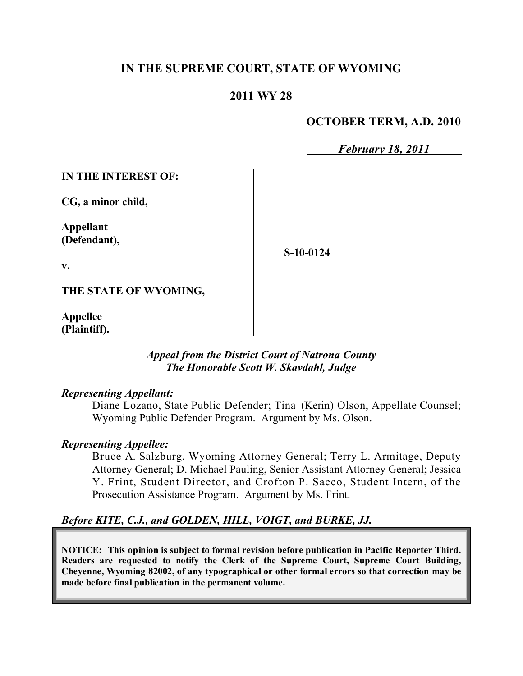## **IN THE SUPREME COURT, STATE OF WYOMING**

### **2011 WY 28**

### **OCTOBER TERM, A.D. 2010**

*February 18, 2011*

**IN THE INTEREST OF:**

**CG, a minor child,**

**Appellant (Defendant),**

**S-10-0124**

**v.**

**THE STATE OF WYOMING,**

**Appellee (Plaintiff).**

### *Appeal from the District Court of Natrona County The Honorable Scott W. Skavdahl, Judge*

#### *Representing Appellant:*

Diane Lozano, State Public Defender; Tina (Kerin) Olson, Appellate Counsel; Wyoming Public Defender Program. Argument by Ms. Olson.

### *Representing Appellee:*

Bruce A. Salzburg, Wyoming Attorney General; Terry L. Armitage, Deputy Attorney General; D. Michael Pauling, Senior Assistant Attorney General; Jessica Y. Frint, Student Director, and Crofton P. Sacco, Student Intern, of the Prosecution Assistance Program. Argument by Ms. Frint.

## *Before KITE, C.J., and GOLDEN, HILL, VOIGT, and BURKE, JJ.*

**NOTICE: This opinion is subject to formal revision before publication in Pacific Reporter Third. Readers are requested to notify the Clerk of the Supreme Court, Supreme Court Building, Cheyenne, Wyoming 82002, of any typographical or other formal errors so that correction may be made before final publication in the permanent volume.**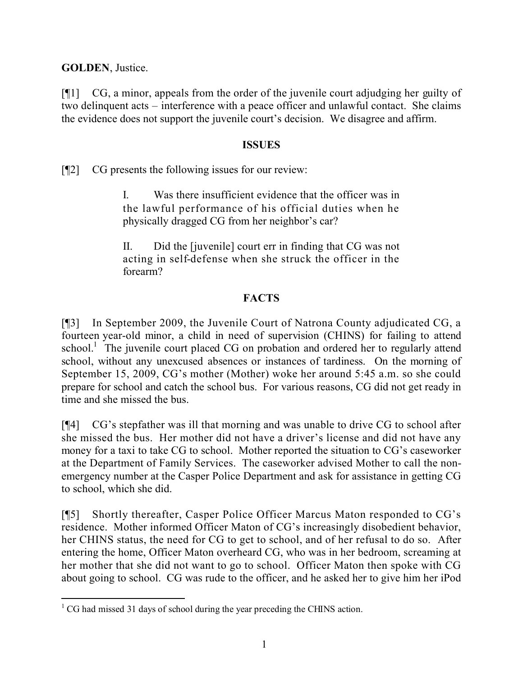**GOLDEN**, Justice.

[¶1] CG, a minor, appeals from the order of the juvenile court adjudging her guilty of two delinquent acts – interference with a peace officer and unlawful contact. She claims the evidence does not support the juvenile court's decision. We disagree and affirm.

### **ISSUES**

[¶2] CG presents the following issues for our review:

I. Was there insufficient evidence that the officer was in the lawful performance of his official duties when he physically dragged CG from her neighbor's car?

II. Did the [juvenile] court err in finding that CG was not acting in self-defense when she struck the officer in the forearm?

# **FACTS**

[¶3] In September 2009, the Juvenile Court of Natrona County adjudicated CG, a fourteen year-old minor, a child in need of supervision (CHINS) for failing to attend school.<sup>1</sup> The juvenile court placed CG on probation and ordered her to regularly attend school, without any unexcused absences or instances of tardiness. On the morning of September 15, 2009, CG's mother (Mother) woke her around 5:45 a.m. so she could prepare for school and catch the school bus. For various reasons, CG did not get ready in time and she missed the bus.

[¶4] CG's stepfather was ill that morning and was unable to drive CG to school after she missed the bus. Her mother did not have a driver's license and did not have any money for a taxi to take CG to school. Mother reported the situation to CG's caseworker at the Department of Family Services. The caseworker advised Mother to call the nonemergency number at the Casper Police Department and ask for assistance in getting CG to school, which she did.

[¶5] Shortly thereafter, Casper Police Officer Marcus Maton responded to CG's residence. Mother informed Officer Maton of CG's increasingly disobedient behavior, her CHINS status, the need for CG to get to school, and of her refusal to do so. After entering the home, Officer Maton overheard CG, who was in her bedroom, screaming at her mother that she did not want to go to school. Officer Maton then spoke with CG about going to school. CG was rude to the officer, and he asked her to give him her iPod

 <sup>1</sup> CG had missed 31 days of school during the year preceding the CHINS action.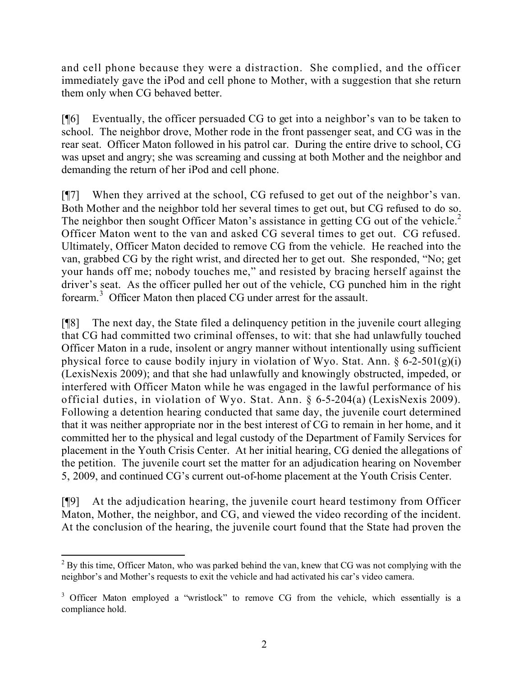and cell phone because they were a distraction. She complied, and the officer immediately gave the iPod and cell phone to Mother, with a suggestion that she return them only when CG behaved better.

[¶6] Eventually, the officer persuaded CG to get into a neighbor's van to be taken to school. The neighbor drove, Mother rode in the front passenger seat, and CG was in the rear seat. Officer Maton followed in his patrol car. During the entire drive to school, CG was upset and angry; she was screaming and cussing at both Mother and the neighbor and demanding the return of her iPod and cell phone.

[¶7] When they arrived at the school, CG refused to get out of the neighbor's van. Both Mother and the neighbor told her several times to get out, but CG refused to do so. The neighbor then sought Officer Maton's assistance in getting CG out of the vehicle.<sup>2</sup> Officer Maton went to the van and asked CG several times to get out. CG refused. Ultimately, Officer Maton decided to remove CG from the vehicle. He reached into the van, grabbed CG by the right wrist, and directed her to get out. She responded, "No; get your hands off me; nobody touches me," and resisted by bracing herself against the driver's seat. As the officer pulled her out of the vehicle, CG punched him in the right forearm.<sup>3</sup> Officer Maton then placed CG under arrest for the assault.

[¶8] The next day, the State filed a delinquency petition in the juvenile court alleging that CG had committed two criminal offenses, to wit: that she had unlawfully touched Officer Maton in a rude, insolent or angry manner without intentionally using sufficient physical force to cause bodily injury in violation of Wyo. Stat. Ann. § 6-2-501(g)(i) (LexisNexis 2009); and that she had unlawfully and knowingly obstructed, impeded, or interfered with Officer Maton while he was engaged in the lawful performance of his official duties, in violation of Wyo. Stat. Ann. § 6-5-204(a) (LexisNexis 2009). Following a detention hearing conducted that same day, the juvenile court determined that it was neither appropriate nor in the best interest of CG to remain in her home, and it committed her to the physical and legal custody of the Department of Family Services for placement in the Youth Crisis Center. At her initial hearing, CG denied the allegations of the petition. The juvenile court set the matter for an adjudication hearing on November 5, 2009, and continued CG's current out-of-home placement at the Youth Crisis Center.

[¶9] At the adjudication hearing, the juvenile court heard testimony from Officer Maton, Mother, the neighbor, and CG, and viewed the video recording of the incident. At the conclusion of the hearing, the juvenile court found that the State had proven the

 $\overline{a}$  $2$  By this time, Officer Maton, who was parked behind the van, knew that CG was not complying with the neighbor's and Mother's requests to exit the vehicle and had activated his car's video camera.

<sup>&</sup>lt;sup>3</sup> Officer Maton employed a "wristlock" to remove CG from the vehicle, which essentially is a compliance hold.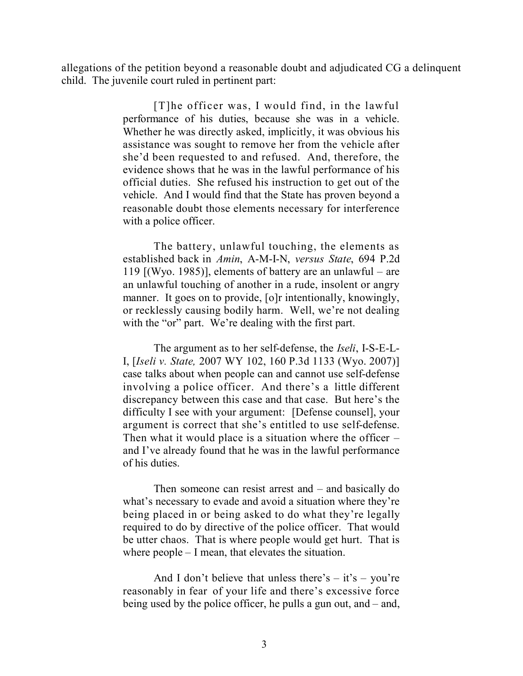allegations of the petition beyond a reasonable doubt and adjudicated CG a delinquent child. The juvenile court ruled in pertinent part:

> [T]he officer was, I would find, in the lawful performance of his duties, because she was in a vehicle. Whether he was directly asked, implicitly, it was obvious his assistance was sought to remove her from the vehicle after she'd been requested to and refused. And, therefore, the evidence shows that he was in the lawful performance of his official duties. She refused his instruction to get out of the vehicle. And I would find that the State has proven beyond a reasonable doubt those elements necessary for interference with a police officer.

> The battery, unlawful touching, the elements as established back in *Amin*, A-M-I-N, *versus State*, 694 P.2d 119 [(Wyo. 1985)], elements of battery are an unlawful – are an unlawful touching of another in a rude, insolent or angry manner. It goes on to provide, [o]r intentionally, knowingly, or recklessly causing bodily harm. Well, we're not dealing with the "or" part. We're dealing with the first part.

> The argument as to her self-defense, the *Iseli*, I-S-E-L-I, [*Iseli v. State,* 2007 WY 102, 160 P.3d 1133 (Wyo. 2007)] case talks about when people can and cannot use self-defense involving a police officer. And there's a little different discrepancy between this case and that case. But here's the difficulty I see with your argument: [Defense counsel], your argument is correct that she's entitled to use self-defense. Then what it would place is a situation where the officer – and I've already found that he was in the lawful performance of his duties.

> Then someone can resist arrest and – and basically do what's necessary to evade and avoid a situation where they're being placed in or being asked to do what they're legally required to do by directive of the police officer. That would be utter chaos. That is where people would get hurt. That is where people – I mean, that elevates the situation.

> And I don't believe that unless there's  $-$  it's  $-$  you're reasonably in fear of your life and there's excessive force being used by the police officer, he pulls a gun out, and – and,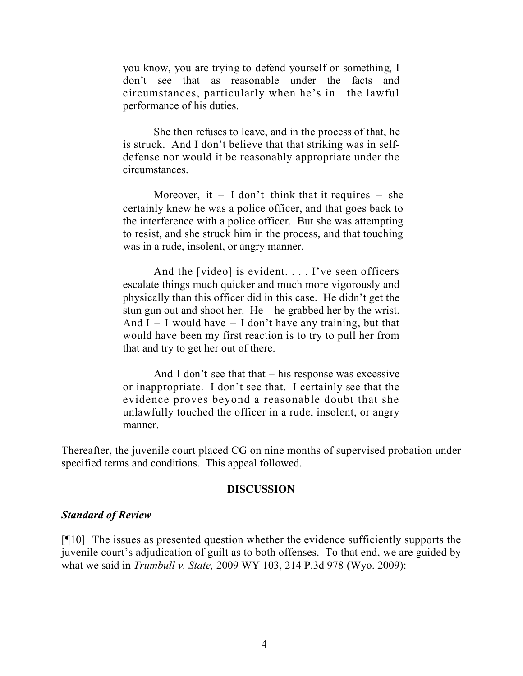you know, you are trying to defend yourself or something, I don't see that as reasonable under the facts and circumstances, particularly when he's in the lawful performance of his duties.

She then refuses to leave, and in the process of that, he is struck. And I don't believe that that striking was in selfdefense nor would it be reasonably appropriate under the circumstances.

Moreover, it  $-$  I don't think that it requires  $-$  she certainly knew he was a police officer, and that goes back to the interference with a police officer. But she was attempting to resist, and she struck him in the process, and that touching was in a rude, insolent, or angry manner.

And the [video] is evident. . . . I've seen officers escalate things much quicker and much more vigorously and physically than this officer did in this case. He didn't get the stun gun out and shoot her. He – he grabbed her by the wrist. And  $I - I$  would have  $- I$  don't have any training, but that would have been my first reaction is to try to pull her from that and try to get her out of there.

And I don't see that that  $-$  his response was excessive or inappropriate. I don't see that. I certainly see that the evidence proves beyond a reasonable doubt that she unlawfully touched the officer in a rude, insolent, or angry manner.

Thereafter, the juvenile court placed CG on nine months of supervised probation under specified terms and conditions. This appeal followed.

#### **DISCUSSION**

#### *Standard of Review*

[¶10] The issues as presented question whether the evidence sufficiently supports the juvenile court's adjudication of guilt as to both offenses. To that end, we are guided by what we said in *Trumbull v. State,* 2009 WY 103, 214 P.3d 978 (Wyo. 2009):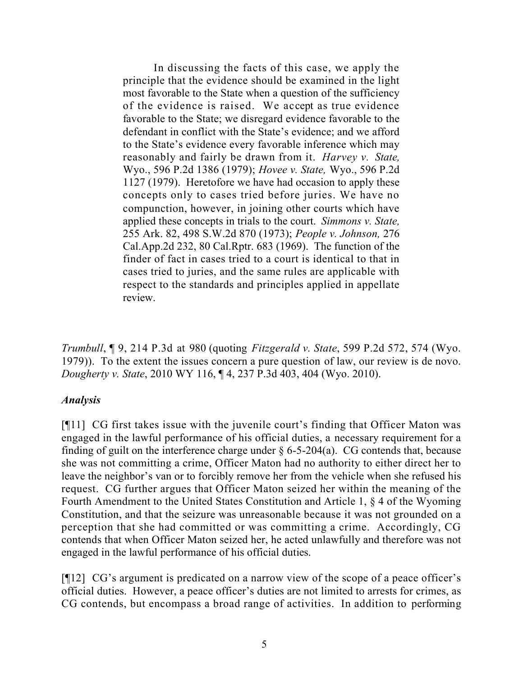In discussing the facts of this case, we apply the principle that the evidence should be examined in the light most favorable to the State when a question of the sufficiency of the evidence is raised. We accept as true evidence favorable to the State; we disregard evidence favorable to the defendant in conflict with the State's evidence; and we afford to the State's evidence every favorable inference which may reasonably and fairly be drawn from it. *Harvey v. State,* Wyo., 596 P.2d 1386 (1979); *Hovee v. State,* Wyo., 596 P.2d 1127 (1979). Heretofore we have had occasion to apply these concepts only to cases tried before juries. We have no compunction, however, in joining other courts which have applied these concepts in trials to the court. *Simmons v. State,* 255 Ark. 82, 498 S.W.2d 870 (1973); *People v. Johnson,* 276 Cal.App.2d 232, 80 Cal.Rptr. 683 (1969). The function of the finder of fact in cases tried to a court is identical to that in cases tried to juries, and the same rules are applicable with respect to the standards and principles applied in appellate review.

*Trumbull*, ¶ 9, 214 P.3d at 980 (quoting *Fitzgerald v. State*, 599 P.2d 572, 574 (Wyo. 1979)). To the extent the issues concern a pure question of law, our review is de novo. *Dougherty v. State*, 2010 WY 116, ¶ 4, 237 P.3d 403, 404 (Wyo. 2010).

#### *Analysis*

[¶11] CG first takes issue with the juvenile court's finding that Officer Maton was engaged in the lawful performance of his official duties, a necessary requirement for a finding of guilt on the interference charge under  $\S$  6-5-204(a). CG contends that, because she was not committing a crime, Officer Maton had no authority to either direct her to leave the neighbor's van or to forcibly remove her from the vehicle when she refused his request. CG further argues that Officer Maton seized her within the meaning of the Fourth Amendment to the United States Constitution and Article 1, § 4 of the Wyoming Constitution, and that the seizure was unreasonable because it was not grounded on a perception that she had committed or was committing a crime. Accordingly, CG contends that when Officer Maton seized her, he acted unlawfully and therefore was not engaged in the lawful performance of his official duties.

[¶12] CG's argument is predicated on a narrow view of the scope of a peace officer's official duties. However, a peace officer's duties are not limited to arrests for crimes, as CG contends, but encompass a broad range of activities. In addition to performing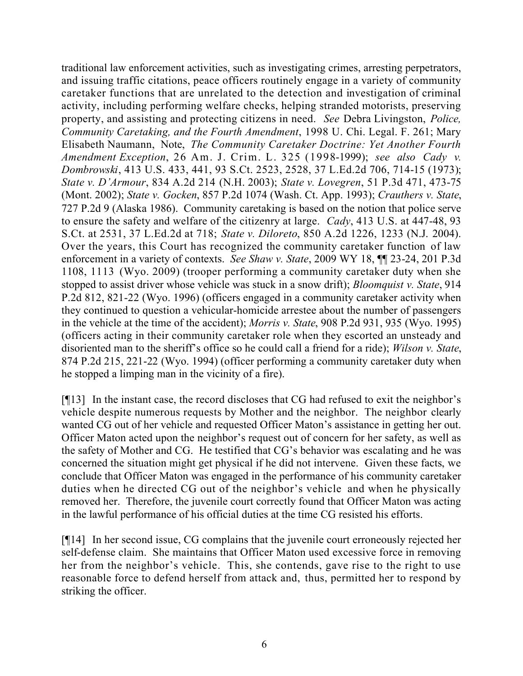traditional law enforcement activities, such as investigating crimes, arresting perpetrators, and issuing traffic citations, peace officers routinely engage in a variety of community caretaker functions that are unrelated to the detection and investigation of criminal activity, including performing welfare checks, helping stranded motorists, preserving property, and assisting and protecting citizens in need. *See* Debra Livingston, *Police, Community Caretaking, and the Fourth Amendment*, 1998 U. Chi. Legal. F. 261; Mary Elisabeth Naumann, Note, *The Community Caretaker Doctrine: Yet Another Fourth Amendment Exception*, 26 Am. J. Crim. L. 325 (1998-1999); *see also Cady v. Dombrowski*, 413 U.S. 433, 441, 93 S.Ct. 2523, 2528, 37 L.Ed.2d 706, 714-15 (1973); *State v. D'Armour*, 834 A.2d 214 (N.H. 2003); *State v. Lovegren*, 51 P.3d 471, 473-75 (Mont. 2002); *State v. Gocken*, 857 P.2d 1074 (Wash. Ct. App. 1993); *Crauthers v. State*, 727 P.2d 9 (Alaska 1986). Community caretaking is based on the notion that police serve to ensure the safety and welfare of the citizenry at large. *Cady*, 413 U.S. at 447-48, 93 S.Ct. at 2531, 37 L.Ed.2d at 718; *State v. Diloreto*, 850 A.2d 1226, 1233 (N.J. 2004). Over the years, this Court has recognized the community caretaker function of law enforcement in a variety of contexts. *See Shaw v. State*, 2009 WY 18, ¶¶ 23-24, 201 P.3d 1108, 1113 (Wyo. 2009) (trooper performing a community caretaker duty when she stopped to assist driver whose vehicle was stuck in a snow drift); *Bloomquist v. State*, 914 P.2d 812, 821-22 (Wyo. 1996) (officers engaged in a community caretaker activity when they continued to question a vehicular-homicide arrestee about the number of passengers in the vehicle at the time of the accident); *Morris v. State*, 908 P.2d 931, 935 (Wyo. 1995) (officers acting in their community caretaker role when they escorted an unsteady and disoriented man to the sheriff's office so he could call a friend for a ride); *Wilson v. State*, 874 P.2d 215, 221-22 (Wyo. 1994) (officer performing a community caretaker duty when he stopped a limping man in the vicinity of a fire).

[¶13] In the instant case, the record discloses that CG had refused to exit the neighbor's vehicle despite numerous requests by Mother and the neighbor. The neighbor clearly wanted CG out of her vehicle and requested Officer Maton's assistance in getting her out. Officer Maton acted upon the neighbor's request out of concern for her safety, as well as the safety of Mother and CG. He testified that CG's behavior was escalating and he was concerned the situation might get physical if he did not intervene. Given these facts, we conclude that Officer Maton was engaged in the performance of his community caretaker duties when he directed CG out of the neighbor's vehicle and when he physically removed her. Therefore, the juvenile court correctly found that Officer Maton was acting in the lawful performance of his official duties at the time CG resisted his efforts.

[¶14] In her second issue, CG complains that the juvenile court erroneously rejected her self-defense claim. She maintains that Officer Maton used excessive force in removing her from the neighbor's vehicle. This, she contends, gave rise to the right to use reasonable force to defend herself from attack and, thus, permitted her to respond by striking the officer.